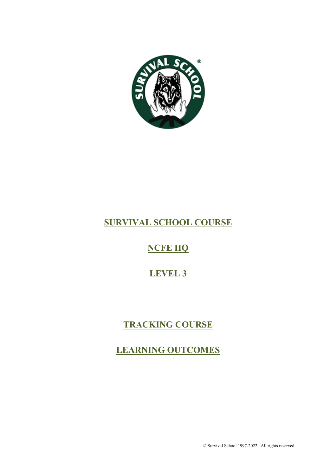

# **SURVIVAL SCHOOL COURSE**

# **NCFE IIQ**

# **LEVEL 3**

# **TRACKING COURSE**

# **LEARNING OUTCOMES**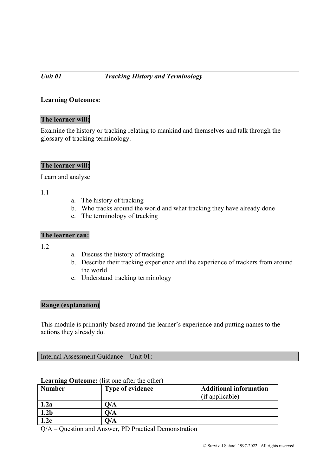#### **The learner will:**

Examine the history or tracking relating to mankind and themselves and talk through the glossary of tracking terminology.

# **The learner will:**

Learn and analyse

1.1

- a. The history of tracking
- b. Who tracks around the world and what tracking they have already done
- c. The terminology of tracking

#### **The learner can:**

1.2

- a. Discuss the history of tracking.
- b. Describe their tracking experience and the experience of trackers from around the world
- c. Understand tracking terminology

#### **Range (explanation)**

This module is primarily based around the learner's experience and putting names to the actions they already do.

Internal Assessment Guidance – Unit 01:

| <b>Number</b>    | <b>Type of evidence</b>   | <b>Additional information</b> |
|------------------|---------------------------|-------------------------------|
|                  |                           | (if applicable)               |
| 1.2a             | 0/A                       |                               |
| 1.2 <sub>b</sub> | $\mathsf{D}/\mathsf{A}$   |                               |
| 1.2c             | $\mathcal{Y}/\mathcal{A}$ |                               |

# **Learning Outcome:** (list one after the other)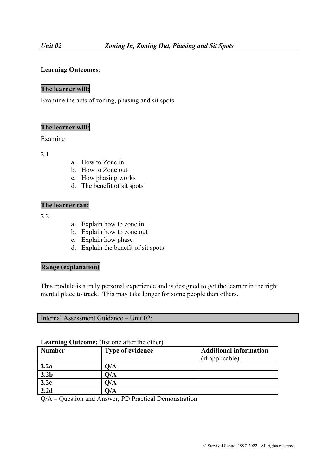# **The learner will:**

Examine the acts of zoning, phasing and sit spots

#### **The learner will:**

Examine

2.1

- a. How to Zone in
- b. How to Zone out
- c. How phasing works
- d. The benefit of sit spots

# **The learner can:**

2.2

- a. Explain how to zone in
- b. Explain how to zone out
- c. Explain how phase
- d. Explain the benefit of sit spots

# **Range (explanation)**

This module is a truly personal experience and is designed to get the learner in the right mental place to track. This may take longer for some people than others.

| Internal Assessment Guidance – Unit 02: |  |  |
|-----------------------------------------|--|--|
|-----------------------------------------|--|--|

#### **Learning Outcome:** (list one after the other)

| <b>Number</b>    | <b>Type of evidence</b>   | <b>Additional information</b> |
|------------------|---------------------------|-------------------------------|
|                  |                           | (if applicable)               |
| 2.2a             | 0/A                       |                               |
| 2.2 <sub>b</sub> | O/A                       |                               |
| 2.2c             | O/A                       |                               |
| 2.2d             | $\mathcal{Y}/\mathcal{A}$ |                               |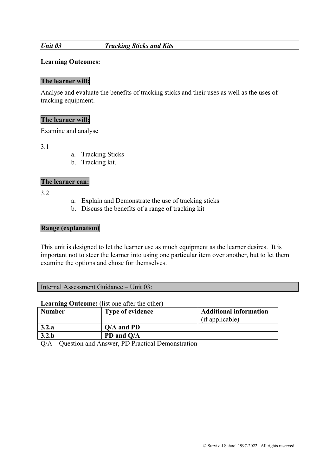#### *Unit 03 Tracking Sticks and Kits*

#### **Learning Outcomes:**

#### **The learner will:**

Analyse and evaluate the benefits of tracking sticks and their uses as well as the uses of tracking equipment.

#### **The learner will:**

Examine and analyse

3.1

- a. Tracking Sticks
- b. Tracking kit.

# **The learner can:**

3.2

- a. Explain and Demonstrate the use of tracking sticks
- b. Discuss the benefits of a range of tracking kit

#### **Range (explanation)**

This unit is designed to let the learner use as much equipment as the learner desires. It is important not to steer the learner into using one particular item over another, but to let them examine the options and chose for themselves.

Internal Assessment Guidance – Unit 03:

#### **Learning Outcome:** (list one after the other)

| <b>Number</b> | <b>Type of evidence</b> | <b>Additional information</b> |
|---------------|-------------------------|-------------------------------|
|               |                         | (if applicable)               |
| 3.2.a         | $Q/A$ and PD            |                               |
| 3.2.b         | PD and Q/A              |                               |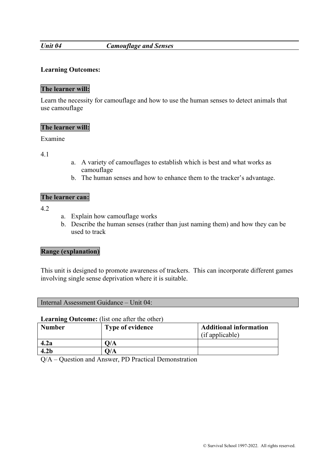#### *Unit 04 Camouflage and Senses*

#### **Learning Outcomes:**

# **The learner will:**

Learn the necessity for camouflage and how to use the human senses to detect animals that use camouflage

#### **The learner will:**

Examine

4.1

- a. A variety of camouflages to establish which is best and what works as camouflage
- b. The human senses and how to enhance them to the tracker's advantage.

#### **The learner can:**

 $4.2$ 

- a. Explain how camouflage works
- b. Describe the human senses (rather than just naming them) and how they can be used to track

#### **Range (explanation)**

This unit is designed to promote awareness of trackers. This can incorporate different games involving single sense deprivation where it is suitable.

#### **Learning Outcome:** (list one after the other)

| <b>Number</b>    | <b>Type of evidence</b> | <b>Additional information</b><br>(if applicable) |
|------------------|-------------------------|--------------------------------------------------|
| 4.2a             | O/A                     |                                                  |
| 4.2 <sub>b</sub> | O/A                     |                                                  |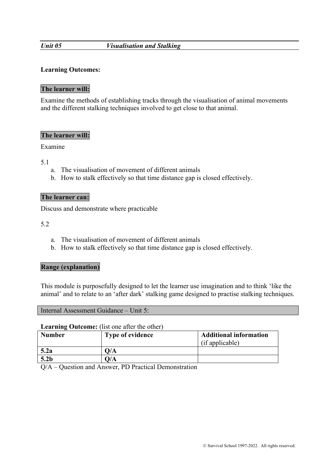#### *Unit 05 Visualisation and Stalking*

#### **Learning Outcomes:**

# **The learner will:**

Examine the methods of establishing tracks through the visualisation of animal movements and the different stalking techniques involved to get close to that animal.

#### **The learner will:**

Examine

5.1

- a. The visualisation of movement of different animals
- b. How to stalk effectively so that time distance gap is closed effectively.

#### **The learner can:**

Discuss and demonstrate where practicable

5.2

- a. The visualisation of movement of different animals
- b. How to stalk effectively so that time distance gap is closed effectively.

#### **Range (explanation)**

This module is purposefully designed to let the learner use imagination and to think 'like the animal' and to relate to an 'after dark' stalking game designed to practise stalking techniques.

| Internal Assessment Guidance – Unit 5: |
|----------------------------------------|
|----------------------------------------|

#### **Learning Outcome:** (list one after the other)

| <b>Number</b>    | <b>Type of evidence</b> | <b>Additional information</b><br>(if applicable) |
|------------------|-------------------------|--------------------------------------------------|
| 5.2a             | O/A                     |                                                  |
| 5.2 <sub>b</sub> | 0/A                     |                                                  |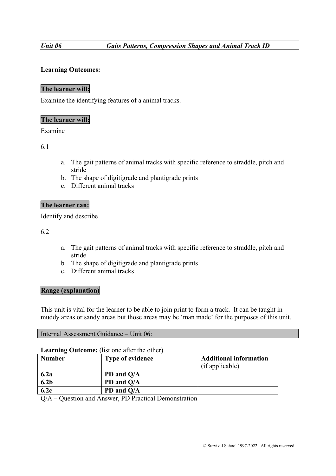# **The learner will:**

Examine the identifying features of a animal tracks.

## **The learner will:**

#### Examine

6.1

- a. The gait patterns of animal tracks with specific reference to straddle, pitch and stride
- b. The shape of digitigrade and plantigrade prints
- c. Different animal tracks

#### **The learner can:**

Identify and describe

6.2

- a. The gait patterns of animal tracks with specific reference to straddle, pitch and stride
- b. The shape of digitigrade and plantigrade prints
- c. Different animal tracks

#### **Range (explanation)**

This unit is vital for the learner to be able to join print to form a track. It can be taught in muddy areas or sandy areas but those areas may be 'man made' for the purposes of this unit.

#### **Learning Outcome:** (list one after the other)

| <b>Number</b>    | <b>Type of evidence</b> | <b>Additional information</b><br>(if applicable) |
|------------------|-------------------------|--------------------------------------------------|
| 6.2a             | PD and Q/A              |                                                  |
| 6.2 <sub>b</sub> | PD and Q/A              |                                                  |
| 6.2c             | PD and Q/A              |                                                  |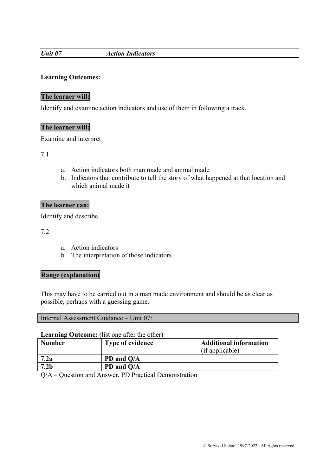#### *Unit 07 Action Indicators*

# **Learning Outcomes:**

# **The learner will:**

Identify and examine action indicators and use of them in following a track.

# **The learner will:**

Examine and interpret

7.1

- a. Action indicators both man made and animal made
- b. Indicators that contribute to tell the story of what happened at that location and which animal made it

# **The learner can:**

Identify and describe

7.2

- a. Action indicators
- b. The interpretation of those indicators

#### **Range (explanation)**

This may have to be carried out in a man made environment and should be as clear as possible, perhaps with a guessing game.

| Internal Assessment Guidance – Unit 07: |  |
|-----------------------------------------|--|
|-----------------------------------------|--|

# **Learning Outcome:** (list one after the other)

| <b>Number</b>    | <b>Type of evidence</b> | <b>Additional information</b><br>(if applicable) |
|------------------|-------------------------|--------------------------------------------------|
| 7.2a             | PD and Q/A              |                                                  |
| 7.2 <sub>b</sub> | PD and Q/A              |                                                  |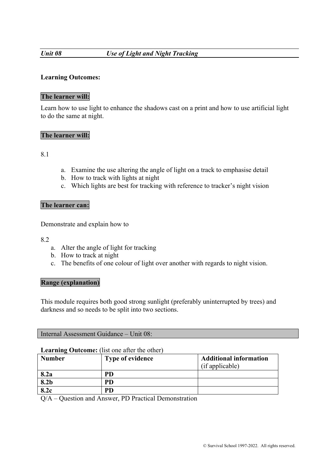# *Unit 08 Use of Light and Night Tracking*

# **Learning Outcomes:**

# **The learner will:**

Learn how to use light to enhance the shadows cast on a print and how to use artificial light to do the same at night.

#### **The learner will:**

8.1

- a. Examine the use altering the angle of light on a track to emphasise detail
- b. How to track with lights at night
- c. Which lights are best for tracking with reference to tracker's night vision

#### **The learner can:**

Demonstrate and explain how to

8.2

- a. Alter the angle of light for tracking
- b. How to track at night
- c. The benefits of one colour of light over another with regards to night vision.

#### **Range (explanation)**

This module requires both good strong sunlight (preferably uninterrupted by trees) and darkness and so needs to be split into two sections.

|  |  | Internal Assessment Guidance – Unit 08: |  |  |
|--|--|-----------------------------------------|--|--|
|--|--|-----------------------------------------|--|--|

#### **Learning Outcome:** (list one after the other)

| <b>Number</b> | <b>Type of evidence</b> | <b>Additional information</b> |
|---------------|-------------------------|-------------------------------|
|               |                         | (if applicable)               |
| 8.2a          | PD                      |                               |
| 8.2b          | PD                      |                               |
| 8.2c          | PD                      |                               |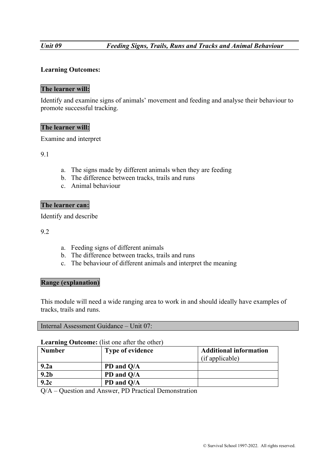# **The learner will:**

Identify and examine signs of animals' movement and feeding and analyse their behaviour to promote successful tracking.

# **The learner will:**

Examine and interpret

9.1

- a. The signs made by different animals when they are feeding
- b. The difference between tracks, trails and runs
- c. Animal behaviour

#### **The learner can:**

Identify and describe

9.2

- a. Feeding signs of different animals
- b. The difference between tracks, trails and runs
- c. The behaviour of different animals and interpret the meaning

#### **Range (explanation)**

This module will need a wide ranging area to work in and should ideally have examples of tracks, trails and runs.

#### **Learning Outcome:** (list one after the other)

| <b>Number</b>    | <b>Type of evidence</b> | <b>Additional information</b> |
|------------------|-------------------------|-------------------------------|
|                  |                         | (if applicable)               |
| 9.2a             | PD and Q/A              |                               |
| 9.2 <sub>b</sub> | PD and Q/A              |                               |
| 9.2c             | PD and Q/A              |                               |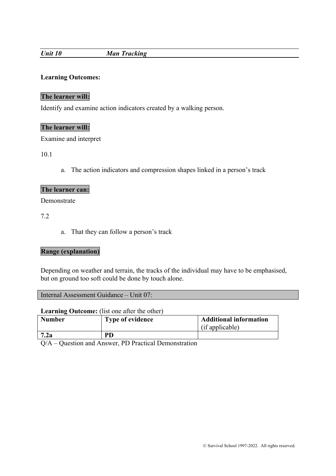# *Unit 10 Man Tracking*

# **Learning Outcomes:**

# **The learner will:**

Identify and examine action indicators created by a walking person.

# **The learner will:**

Examine and interpret

10.1

a. The action indicators and compression shapes linked in a person's track

# **The learner can:**

Demonstrate

7.2

a. That they can follow a person's track

# **Range (explanation)**

Depending on weather and terrain, the tracks of the individual may have to be emphasised, but on ground too soft could be done by touch alone.

|  |  | Internal Assessment Guidance – Unit 07: |  |  |
|--|--|-----------------------------------------|--|--|
|--|--|-----------------------------------------|--|--|

#### **Learning Outcome:** (list one after the other)

| <b>Number</b> | <b>Type of evidence</b> | <b>Additional information</b><br>(if applicable) |
|---------------|-------------------------|--------------------------------------------------|
| 7.2a          | PD                      |                                                  |